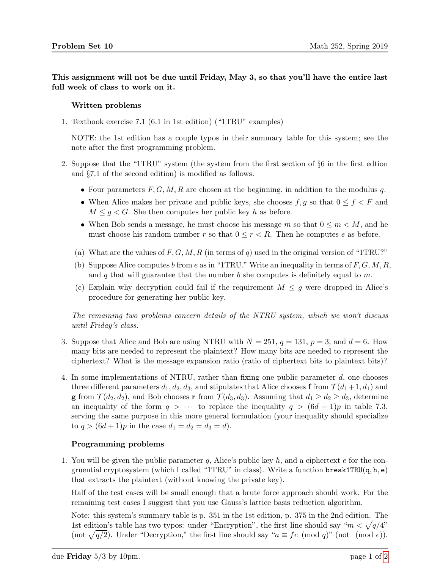This assignment will not be due until Friday, May 3, so that you'll have the entire last full week of class to work on it.

## Written problems

1. Textbook exercise 7.1 (6.1 in 1st edition) ("1TRU" examples)

NOTE: the 1st edition has a couple typos in their summary table for this system; see the note after the first programming problem.

- 2. Suppose that the "1TRU" system (the system from the first section of §6 in the first edtion and §7.1 of the second edition) is modified as follows.
	- Four parameters  $F, G, M, R$  are chosen at the beginning, in addition to the modulus q.
	- When Alice makes her private and public keys, she chooses  $f, g$  so that  $0 \le f \le F$  and  $M \leq g \lt G$ . She then computes her public key h as before.
	- When Bob sends a message, he must choose his message m so that  $0 \le m \le M$ , and he must choose his random number r so that  $0 \leq r < R$ . Then he computes e as before.
	- (a) What are the values of  $F, G, M, R$  (in terms of q) used in the original version of "1TRU?"
	- (b) Suppose Alice computes b from e as in "1TRU." Write an inequality in terms of  $F, G, M, R$ , and q that will guarantee that the number  $b$  she computes is definitely equal to  $m$ .
	- (c) Explain why decryption could fail if the requirement  $M \leq g$  were dropped in Alice's procedure for generating her public key.

The remaining two problems concern details of the NTRU system, which we won't discuss until Friday's class.

- 3. Suppose that Alice and Bob are using NTRU with  $N = 251$ ,  $q = 131$ ,  $p = 3$ , and  $d = 6$ . How many bits are needed to represent the plaintext? How many bits are needed to represent the ciphertext? What is the message expansion ratio (ratio of ciphertext bits to plaintext bits)?
- 4. In some implementations of NTRU, rather than fixing one public parameter d, one chooses three different parameters  $d_1, d_2, d_3$ , and stipulates that Alice chooses **f** from  $\mathcal{T}(d_1+1, d_1)$  and **g** from  $\mathcal{T}(d_2, d_2)$ , and Bob chooses **r** from  $\mathcal{T}(d_3, d_3)$ . Assuming that  $d_1 \geq d_2 \geq d_3$ , determine an inequality of the form  $q > \cdots$  to replace the inequality  $q > (6d + 1)p$  in table 7.3, serving the same purpose in this more general formulation (your inequality should specialize to  $q > (6d+1)p$  in the case  $d_1 = d_2 = d_3 = d$ .

## Programming problems

1. You will be given the public parameter q, Alice's public key h, and a ciphertext e for the congruential cryptosystem (which I called "1TRU" in class). Write a function  $break1TRU(q, h, e)$ that extracts the plaintext (without knowing the private key).

Half of the test cases will be small enough that a brute force approach should work. For the remaining test cases I suggest that you use Gauss's lattice basis reduction algorithm.

Note: this system's summary table is p. 351 in the 1st edition, p. 375 in the 2nd edition. The 1st edition's table has two typos: under "Encryption", the first line should say " $m < \sqrt{\frac{q}{4}}$ " (not  $\sqrt{q/2}$ ). Under "Decryption," the first line should say " $a \equiv fe \pmod{q}$ " (not (mod e)).